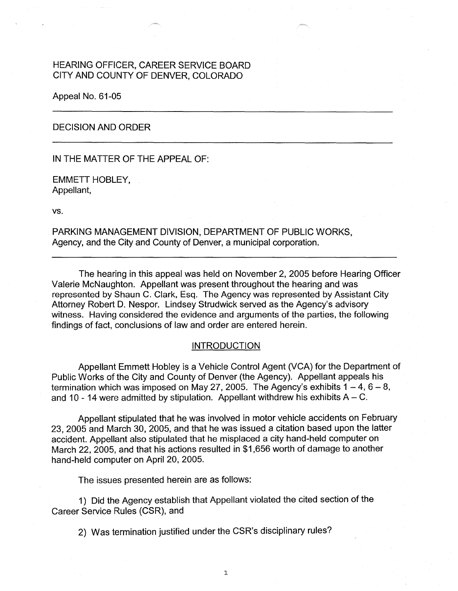# HEARING OFFICER, CAREER SERVICE BOARD CITY AND COUNTY OF DENVER, COLORADO

Appeal No. 61-05

## DECISION AND ORDER

IN THE MATTER OF THE APPEAL OF:

EMMETT HOBLEY, Appellant,

vs.

PARKING MANAGEMENT DIVISION, DEPARTMENT OF PUBLIC WORKS, Agency, and the City and County of Denver, a municipal corporation.

The hearing in this appeal was held on November 2, 2005 before Hearing Officer Valerie McNaughton. Appellant was present throughout the hearing and was represented by Shaun C. Clark, Esq. The Agency was represented by Assistant City Attorney Robert D. Nespor. Lindsey Strudwick served as the Agency's advisory witness. Having considered the evidence and arguments of the parties, the following findings of fact, conclusions of law and order are entered herein.

## **INTRODUCTION**

Appellant Emmett Hobley is a Vehicle Control Agent (VCA) for the Department of Public Works of the City and County of Denver (the Agency). Appellant appeals his termination which was imposed on May 27, 2005. The Agency's exhibits  $1 - 4$ ,  $6 - 8$ , and 10 - 14 were admitted by stipulation. Appellant withdrew his exhibits  $A - C$ .

Appellant stipulated that he was involved in motor vehicle accidents on February 23, 2005 and March 30, 2005, and that he was issued a citation based upon the latter accident. Appellant also stipulated that he misplaced a city hand-held computer on March 22, 2005, and that his actions resulted in \$1,656 worth of damage to another hand-held computer on April 20, 2005.

The issues presented herein are as follows:

1) Did the Agency establish that Appellant violated the cited section of the Career Service Rules (CSR), and

 $\mathbf{1}$ 

2) Was termination justified under the CSR's disciplinary rules?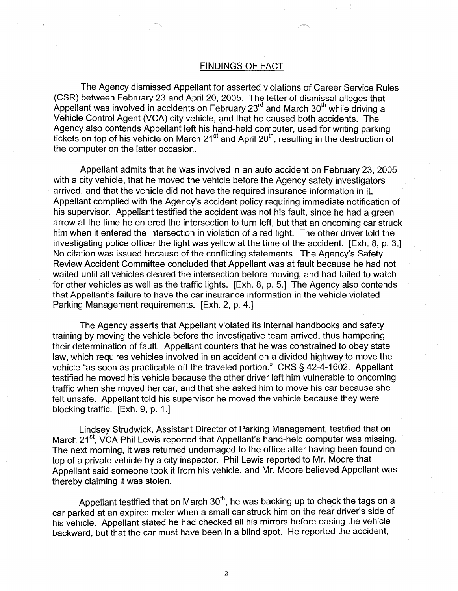#### FINDINGS OF FACT

The Agency dismissed Appellant for asserted violations of Career Service Rules (CSR) between February 23 and April 20, 2005. The letter of dismissal alleges that Appellant was involved in accidents on February 23<sup>rd</sup> and March 30<sup>th</sup> while driving a Vehicle Control Agent (VCA) city vehicle, and that he caused both accidents. The Agency also contends Appellant left his hand-held computer, used for writing parking tickets on top of his vehicle on March  $21<sup>st</sup>$  and April  $20<sup>th</sup>$ , resulting in the destruction of the computer on the latter occasion.

Appellant admits that he was involved in an auto accident on February 23, 2005 with a city vehicle, that he moved the vehicle before the Agency safety investigators arrived, and that the vehicle did not have the required insurance information in it. Appellant complied with the Agency's accident policy requiring immediate notification of his supervisor. Appellant testified the accident was not his fault, since he had a green arrow at the time he entered the intersection to turn left, but that an oncoming car struck him when it entered the intersection in violation of a red light. The other driver told the investigating police officer the light was yellow at the time of the accident. [Exh. 8, p. 3.] No citation was issued because of the conflicting statements. The Agency's Safety Review Accident Committee concluded that Appellant was at fault because he had not waited until all vehicles cleared the intersection before moving, and had failed to watch for other vehicles as well as the traffic lights. [Exh. 8, p. 5.] The Agency also contends that Appellant's failure to have the car insurance information in the vehicle violated Parking Management requirements. [Exh. 2, p. 4.]

The Agency asserts that Appellant violated its internal handbooks and safety training by moving the vehicle before the investigative team arrived, thus hampering their determination of fault. Appellant counters that he was constrained to obey state law, which requires vehicles involved in an accident on a divided highway to move the vehicle "as soon as practicable off the traveled portion." CRS § 42-4-1602. Appellant testified he moved his vehicle because the other driver left him vulnerable to oncoming traffic when she moved her car, and that she asked him to move his car because she felt unsafe. Appellant told his supervisor he moved the vehicle because they were blocking traffic. [Exh. 9, p. 1.]

Lindsey Strudwick, Assistant Director of Parking Management, testified that on March 21<sup>st</sup>, VCA Phil Lewis reported that Appellant's hand-held computer was missing. The next morning, it was returned undamaged to the office after having been found on top of a private vehicle by a city inspector. Phil Lewis reported to Mr. Moore that Appellant said someone took it from his vehicle, and Mr. Moore believed Appellant was thereby claiming it was stolen.

Appellant testified that on March  $30<sup>th</sup>$ , he was backing up to check the tags on a car parked at an expired meter when a small car struck him on the rear driver's side of his vehicle. Appellant stated he had checked all his mirrors before easing the vehicle backward, but that the car must have been in a blind spot. He reported the accident,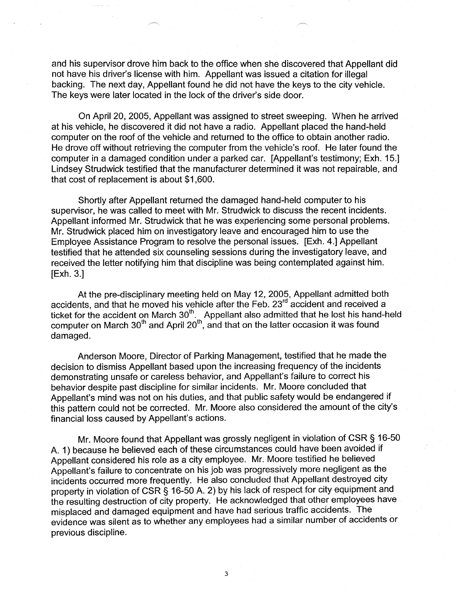and his supervisor drove him back to the office when she discovered that Appellant did not have his driver's license with him. Appellant was issued a citation for illegal backing. The next day, Appellant found he did not have the keys to the city vehicle. The keys were later located in the lock of the driver's side door.

On April 20, 2005, Appellant was assigned to street sweeping. When he arrived at his vehicle, he discovered it did not have a radio. Appellant placed the hand-held computer on the roof of the vehicle and returned to the office to obtain another radio. He drove off without retrieving the computer from the vehicle's roof. He later found the computer in a damaged condition under a parked car. [Appellant's testimony; Exh. 15.] Lindsey Strudwick testified that the manufacturer determined it was not repairable, and that cost of replacement is about \$1,600.

Shortly after Appellant returned the damaged hand-held computer to his supervisor, he was called to meet with Mr. Strudwick to discuss the recent incidents. Appellant informed Mr. Strudwick that he was experiencing some personal problems. Mr. Strudwick placed him on investigatory leave and encouraged him to use the Employee Assistance Program to resolve the personal issues. [Exh. 4.] Appellant testified that he attended six counseling sessions during the investigatory leave, and received the letter notifying him that discipline was being contemplated against him. [Exh. 3.]

At the pre-disciplinary meeting held on May 12, 2005, Appellant admitted both accidents, and that he moved his vehicle after the Feb. 23<sup>rd</sup> accident and received a ticket for the accident on March  $30<sup>th</sup>$ . Appellant also admitted that he lost his hand-held computer on March 30<sup>th</sup> and April 20<sup>th</sup>, and that on the latter occasion it was found damaged.

Anderson Moore, Director of Parking Management, testified that he made the decision to dismiss Appellant based upon the increasing frequency of the incidents demonstrating unsafe or careless behavior, and Appellant's failure to correct his behavior despite past discipline for similar incidents. Mr. Moore concluded that Appellant's mind was not on his duties, and that public safety would be endangered if this pattern could not be corrected. Mr. Moore also considered the amount of the city's financial loss caused by Appellant's actions.

Mr. Moore found that Appellant was grossly negligent in violation of CSR § 16-50 A. 1) because he believed each of these circumstances could have been avoided if Appellant considered his role as a city employee. Mr. Moore testified he believed Appellant's failure to concentrate on his job was progressively more negligent as the incidents occurred more frequently. He also concluded that Appellant destroyed city property in violation of CSR § 16-50 A. 2) by his lack of respect for city equipment and the resulting destruction of city property. He acknowledged that other employees have misplaced and damaged equipment and have had serious traffic accidents. The evidence was silent as to whether any employees had a similar number of accidents or previous discipline.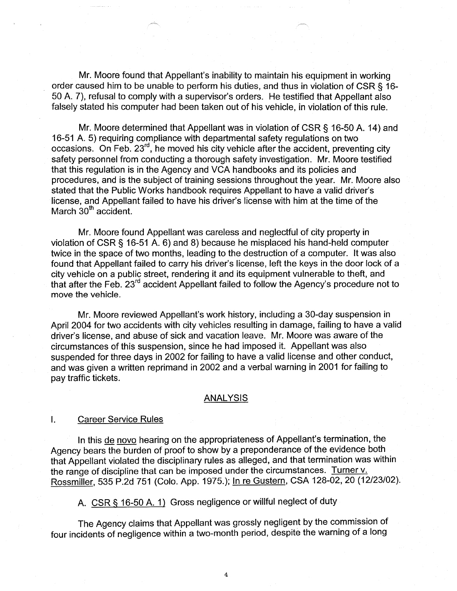Mr. Moore found that Appellant's inability to maintain his equipment in working order caused him to be unable to perform his duties, and thus in violation of CSR § 16- 50 A. 7), refusal to comply with a supervisor's orders. He testified that Appellant also falsely stated his computer had been taken out of his vehicle, in violation of this rule.

Mr. Moore determined that Appellant was in violation of CSR § 16-50 A. 14) and 16-51 A. 5) requiring compliance with departmental safety regulations on two occasions. On Feb. 23rd , he moved his city vehicle after the accident, preventing city safety personnel from conducting a thorough safety investigation. Mr. Moore testified that this regulation is in the Agency and VCA handbooks and its policies and procedures, and is the subject of training sessions throughout the year. Mr. Moore also stated that the Public Works handbook requires Appellant to have a valid driver's license, and Appellant failed to have his driver's license with him at the time of the March  $30<sup>th</sup>$  accident.

Mr. Moore found Appellant was careless and neglectful of city property in violation of CSR § 16-51 A. 6) and 8) because he misplaced his hand-held computer twice in the space of two months, leading to the destruction of a computer. It was also found that Appellant failed to carry his driver's license, left the keys in the door lock of a city vehicle on a public street, rendering it and its equipment vulnerable to theft, and that after the Feb. 23rd accident Appellant failed to follow the Agency's procedure not to move the vehicle.

Mr. Moore reviewed Appellant's work history, including a 30-day suspension in April 2004 for two accidents with city vehicles resulting in damage, failing to have a valid driver's license, and abuse of sick and vacation leave. Mr. Moore was aware of the circumstances of this suspension, since he had imposed it. Appellant was also suspended for three days in 2002 for failing to have a valid license and other conduct, and was given a written reprimand in 2002 and a verbal warning in 2001 for failing to pay traffic tickets.

#### **ANALYSIS**

## I. Career Service Rules

In this de novo hearing on the appropriateness of Appellant's termination, the Agency bears the burden of proof to show by a preponderance of the evidence both that Appellant violated the disciplinary rules as alleged, and that termination was within the range of discipline that can be imposed under the circumstances. Turner v. Rossmiller, 535 P.2d 751 (Colo. App. 1975.); In re Gustern, CSA 128-02, 20 (12/23/02).

A. CSR § 16-50 A. 1) Gross negligence or willful neglect of duty

The Agency claims that Appellant was grossly negligent by the commission of four incidents of negligence within a two-month period, despite the warning of a long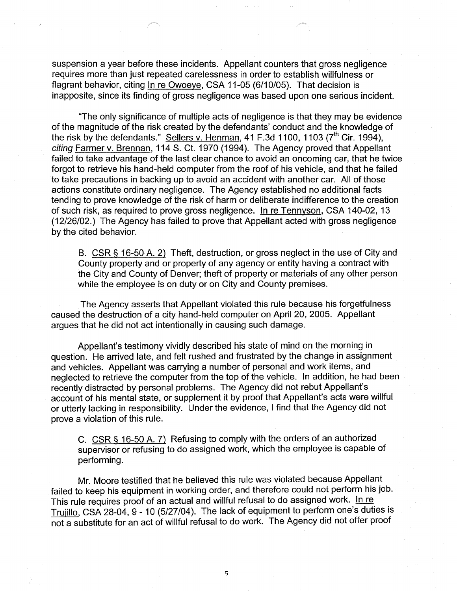suspension a year before these incidents. Appellant counters that gross negligence requires more than just repeated carelessness in order to establish willfulness or flagrant behavior, citing In re Owoeye, CSA 11-05 (6/10/05). That decision is inapposite, since its finding of gross negligence was based upon one serious incident.

"The only significance of multiple acts of negligence is that they may be evidence of the magnitude of the risk created by the defendants' conduct and the knowledge of the risk by the defendants." Sellers v. Henman, 41 F.3d 1100, 1103 ( $7<sup>th</sup>$  Cir. 1994), citing Farmer v. Brennan, 114 S. Ct. 1970 (1994). The Agency proved that Appellant failed to take advantage of the last clear chance to avoid an oncoming car, that he twice forgot to retrieve his hand-held computer from the roof of his vehicle, and that he failed to take precautions in backing up to avoid an accident with another car. All of those actions constitute ordinary negligence. The Agency established no additional facts tending to prove knowledge of the risk of harm or deliberate indifference to the creation of such risk, as required to prove gross negligence. In re Tennyson, CSA 140-02, 13 (12/26/02.) The Agency has failed to prove that Appellant acted with gross negligence by the cited behavior.

B. CSR § 16-50 A. 2) Theft, destruction, or gross neglect in the use of City and County property and or property of any agency or entity having a contract with the City and County of Denver; theft of property or materials of any other person while the employee is on duty or on City and County premises.

The Agency asserts that Appellant violated this rule because his forgetfulness caused the destruction of a city hand-held computer on April 20, 2005. Appellant argues that he did not act intentionally in causing such damage.

Appellant's testimony vividly described his state of mind on the morning in question. He arrived late, and felt rushed and frustrated by the change in assignment and vehicles. Appellant was carrying a number of personal and work items, and neglected to retrieve the computer from the top of the vehicle. In addition, he had been recently distracted by personal problems. The Agency did not rebut Appellant's account of his mental state, or supplement it by proof that Appellant's acts were willful or utterly lacking in responsibility. Under the evidence, I find that the Agency did not prove a violation of this rule.

C. CSR § 16-50 A. 7) Refusing to comply with the orders of an authorized supervisor or refusing to do assigned work, which the employee is capable of performing.

Mr. Moore testified that he believed this rule was violated because Appellant failed to keep his equipment in working order, and therefore could not perform his job. This rule requires proof of an actual and willful refusal to do assigned work. In re Trujillo, CSA 28-04, 9 - 10 (5/27/04). The lack of equipment to perform one's duties is not a substitute for an act of willful refusal to do work. The Agency did not offer proof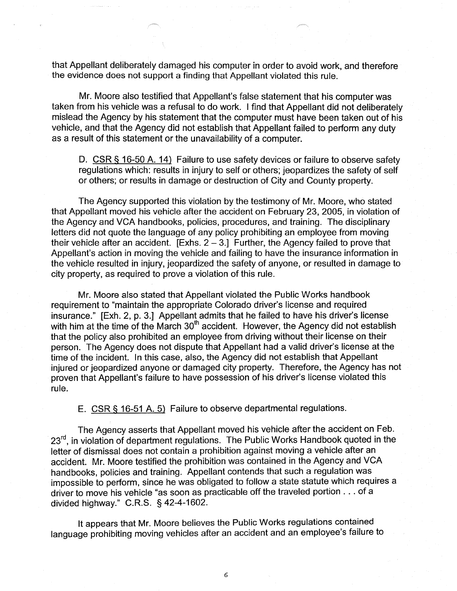that Appellant deliberately damaged his computer in order to avoid work, and therefore the evidence does not support a finding that Appellant violated this rule.

Mr. Moore also testified that Appellant's false statement that his computer was taken from his vehicle was a refusal to do work. I find that Appellant did not deliberately mislead the Agency by his statement that the computer must have been taken out of his vehicle, and that the Agency did not establish that Appellant failed to perform any duty as a result of this statement or the unavailability of a computer.

D. CSR § 16-50 A. 14) Failure to use safety devices or failure to observe safety regulations which: results in injury to self or others; jeopardizes the safety of self or others; or results in damage or destruction of City and County property.

The Agency supported this violation by the testimony of Mr. Moore, who stated that Appellant moved his vehicle after the accident on February 23, 2005, in violation of the Agency and VGA handbooks, policies, procedures, and training. The disciplinary letters did not quote the language of any policy prohibiting an employee from moving their vehicle after an accident.  $[Exhs. 2 - 3]$  Further, the Agency failed to prove that Appellant's action in moving the vehicle and failing to have the insurance information in the vehicle resulted in injury, jeopardized the safety of anyone, or resulted in damage to city property, as required to prove a violation of this rule.

Mr. Moore also stated that Appellant violated the Public Works handbook requirement to "maintain the appropriate Colorado driver's license and required insurance." [Exh. 2, p. 3.] Appellant admits that he failed to have his driver's license with him at the time of the March  $30<sup>th</sup>$  accident. However, the Agency did not establish that the policy also prohibited an employee from driving without their license on their person. The Agency does not dispute that Appellant had a valid driver's license at the time of the incident. In this case, also, the Agency did not establish that Appellant injured or jeopardized anyone or damaged city property. Therefore, the Agency has not proven that Appellant's failure to have possession of his driver's license violated this rule.

E. CSR§ 16-51 A. 5) Failure to observe departmental regulations.

The Agency asserts that Appellant moved his vehicle after the accident on Feb. 23<sup>rd</sup>, in violation of department regulations. The Public Works Handbook quoted in the letter of dismissal does not contain a prohibition against moving a vehicle after an accident. Mr. Moore testified the prohibition was contained in the Agency and VGA handbooks, policies and training. Appellant contends that such a regulation was impossible to perform, since he was obligated to follow a state statute which requires a driver to move his vehicle "as soon as practicable off the traveled portion ... of a divided highway." C.R.S. § 42-4-1602.

It appears that Mr. Moore believes the Public Works regulations contained language prohibiting moving vehicles after an accident and an employee's failure to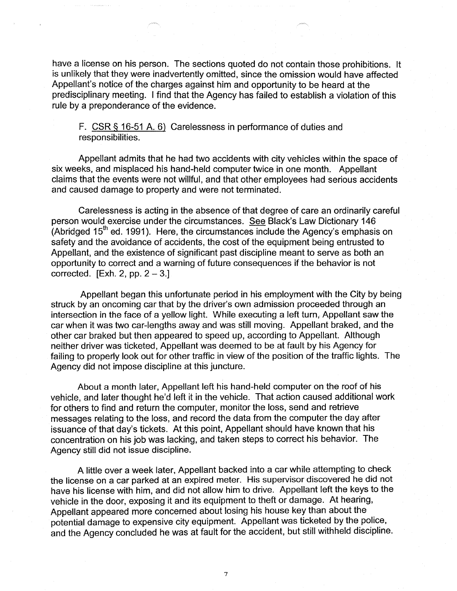have a license on his person. The sections quoted do not contain those prohibitions. It is unlikely that they were inadvertently omitted, since the omission would have affected Appellant's notice of the charges against him and opportunity to be heard at the predisciplinary meeting. I find that the Agency has failed to establish a violation of this rule by a preponderance of the evidence.

F. CSR § 16-51 A. 6) Carelessness in performance of duties and responsibilities.

Appellant admits that he had two accidents with city vehicles within the space of six weeks, and misplaced his hand-held computer twice in one month. Appellant claims that the events were not willful, and that other employees had serious accidents and caused damage to property and were not terminated.

Carelessness is acting in the absence of that degree of care an ordinarily careful person would exercise under the circumstances. See Black's Law Dictionary 146 (Abridged 15<sup>th</sup> ed. 1991). Here, the circumstances include the Agency's emphasis on safety and the avoidance of accidents, the cost of the equipment being entrusted to Appellant, and the existence of significant past discipline meant to serve as both an opportunity to correct and a warning of future consequences if the behavior is not corrected.  $[Exh. 2, pp. 2-3.]$ 

Appellant began this unfortunate period in his employment with the City by being struck by an oncoming car that by the driver's own admission proceeded through an intersection in the face of a yellow light. While executing a left turn, Appellant saw the car when it was two car-lengths away and was still moving. Appellant braked, and the other car braked but then appeared to speed up, according to Appellant. Although neither driver was ticketed, Appellant was deemed to be at fault by his Agency for failing to properly look out for other traffic in view of the position of the traffic lights. The Agency did not impose discipline at this juncture.

About a month later, Appellant left his hand-held computer on the roof of his vehicle, and later thought he'd left it in the vehicle. That action caused additional work for others to find and return the computer, monitor the loss, send and retrieve messages relating to the loss, and record the data from the computer the day after issuance of that day's tickets. At this point, Appellant should have known that his concentration on his job was lacking, and taken steps to correct his behavior. The Agency still did not issue discipline.

A little over a week later, Appellant backed into a car while attempting to check the license on a car parked at an expired meter. His supervisor discovered he did not have his license with him, and did not allow him to drive. Appellant left the keys to the vehicle in the door, exposing it and its equipment to theft or damage. At hearing, Appellant appeared more concerned about losing his house key than about the potential damage to expensive city equipment. Appellant was ticketed by the police, and the Agency concluded he was at fault for the accident, but still withheld discipline.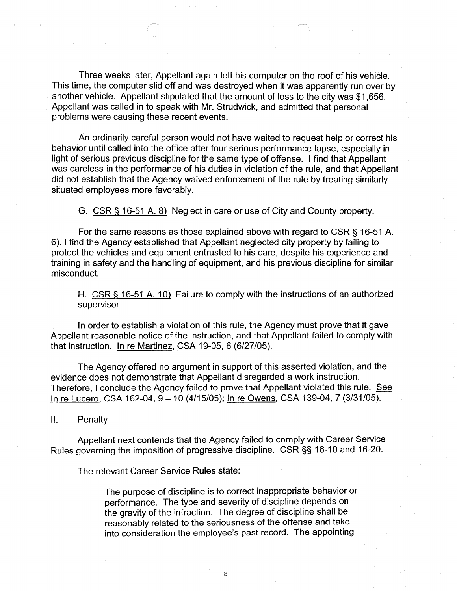Three weeks later, Appellant again left his computer on the roof of his vehicle. This time, the computer slid off and was destroyed when it was apparently run over by another vehicle. Appellant stipulated that the amount of loss to the city was \$1,656. Appellant was called in to speak with Mr. Strudwick, and admitted that personal problems were causing these recent events.

An ordinarily careful person would not have waited to request help or correct his behavior until called into the office after four serious performance lapse, especially in light of serious previous discipline for the same type of offense. I find that Appellant was careless in the performance of his duties in violation of the rule, and that Appellant did not establish that the Agency waived enforcement of the rule by treating similarly situated employees more favorably.

G. CSR § 16-51 A. 8) Neglect in care or use of City and County property.

For the same reasons as those explained above with regard to CSR § 16-51 A. 6). I find the Agency established that Appellant neglected city property by failing to protect the vehicles and equipment entrusted to his care, despite his experience and training in safety and the handling of equipment, and his previous discipline for similar misconduct.

H. CSR § 16-51 A. 10) Failure to comply with the instructions of an authorized supervisor.

In order to establish a violation of this rule, the Agency must prove that it gave Appellant reasonable notice of the instruction, and that Appellant failed to comply with that instruction. In re Martinez, CSA 19-05, 6 (6/27 /05).

The Agency offered no argument in support of this asserted violation, and the evidence does not demonstrate that Appellant disregarded a work instruction. Therefore, I conclude the Agency failed to prove that Appellant violated this rule. See In re Lucero, CSA 162-04,  $9 - 10$  (4/15/05); In re Owens, CSA 139-04, 7 (3/31/05).

11. Penalty

Appellant next contends that the Agency failed to comply with Career Service Rules governing the imposition of progressive discipline. CSR §§ 16-10 and 16-20.

The relevant Career Service Rules state:

The purpose of discipline is to correct inappropriate behavior or performance. The type and severity of discipline depends on the gravity of the infraction. The degree of discipline shall be reasonably related to the seriousness of the offense and take into consideration the employee's past record. The appointing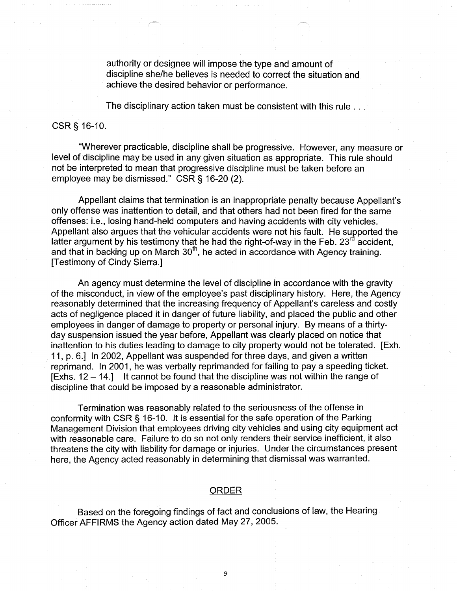authority or designee will impose the type and amount of discipline she/he believes is needed to correct the situation and achieve the desired behavior or performance.

The disciplinary action taken must be consistent with this rule ...

## CSR§ 16-10.

"Wherever practicable, discipline shall be progressive. However, any measure or level of discipline may be used in any given situation as appropriate. This rule should not be interpreted to mean that progressive discipline must be taken before an employee may be dismissed." CSR§ 16-20 (2).

Appellant claims that termination is an inappropriate penalty because Appellant's only offense was inattention to detail, and that others had not been fired for the same offenses: i.e., losing hand-held computers and having accidents with city vehicles. Appellant also argues that the vehicular accidents were not his fault. He supported the latter argument by his testimony that he had the right-of-way in the Feb. 23<sup>rd</sup> accident, and that in backing up on March  $30<sup>th</sup>$ , he acted in accordance with Agency training. [Testimony of Cindy Sierra.]

An agency must determine the level of discipline in accordance with the gravity of the misconduct, in view of the employee's past disciplinary history. Here, the Agency reasonably determined that the increasing frequency of Appellant's careless and costly acts of negligence placed it in danger of future liability, and placed the public and other employees in danger of damage to property or personal injury. By means of a thirtyday suspension issued the year before, Appellant was clearly placed on notice that inattention to his duties leading to damage to city property would not be tolerated. [Exh. 11, p. 6.] In 2002, Appellant was suspended for three days, and given a written reprimand. In 2001, he was verbally reprimanded for failing to pay a speeding ticket.  $[Exhs. 12 - 14.]$  It cannot be found that the discipline was not within the range of discipline that could be imposed by a reasonable administrator.

Termination was reasonably related to the seriousness of the offense in conformity with CSR§ 16-10. It is essential for the safe operation of the Parking Management Division that employees driving city vehicles and using city equipment act with reasonable care. Failure to do so not only renders their service inefficient, it also threatens the city with liability for damage or injuries. Under the circumstances present here, the Agency acted reasonably in determining that dismissal was warranted.

### ORDER

Based on the foregoing findings of fact and conclusions of law, the Hearing Officer AFFIRMS the Agency action dated May 27, 2005.